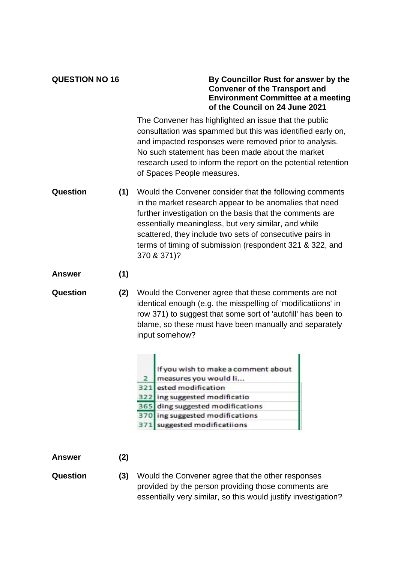## **QUESTION NO 16 By Councillor Rust for answer by the Convener of the Transport and Environment Committee at a meeting of the Council on 24 June 2021**

The Convener has highlighted an issue that the public consultation was spammed but this was identified early on, and impacted responses were removed prior to analysis. No such statement has been made about the market research used to inform the report on the potential retention of Spaces People measures.

- **Question (1)** Would the Convener consider that the following comments in the market research appear to be anomalies that need further investigation on the basis that the comments are essentially meaningless, but very similar, and while scattered, they include two sets of consecutive pairs in terms of timing of submission (respondent 321 & 322, and 370 & 371)?
- **Answer (1)**
- **Question (2)** Would the Convener agree that these comments are not identical enough (e.g. the misspelling of 'modificatiions' in row 371) to suggest that some sort of 'autofill' has been to blame, so these must have been manually and separately input somehow?

| If you wish to make a comment about<br>measures you would li |
|--------------------------------------------------------------|
| 321 ested modification                                       |
| 322 ing suggested modificatio                                |
| 365 ding suggested modifications                             |
| 370 ing suggested modifications                              |
| 371 suggested modificatiions                                 |

## **Answer (2)**

**Question (3)** Would the Convener agree that the other responses provided by the person providing those comments are essentially very similar, so this would justify investigation?